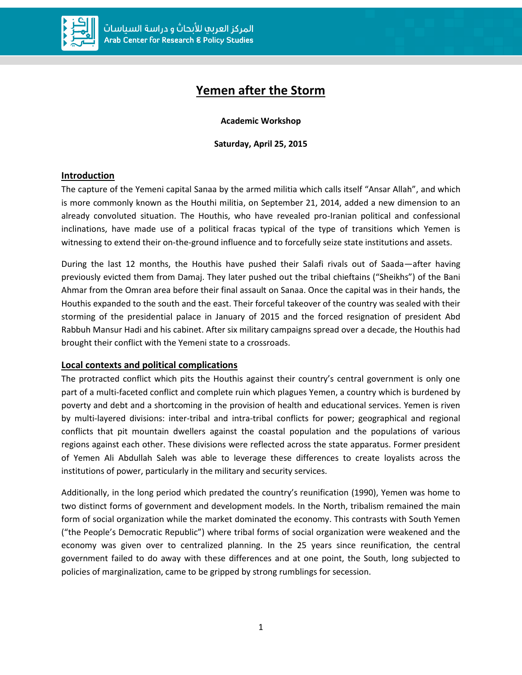

# **Yemen after the Storm**

**Academic Workshop**

**Saturday, April 25, 2015**

## **Introduction**

The capture of the Yemeni capital Sanaa by the armed militia which calls itself "Ansar Allah", and which is more commonly known as the Houthi militia, on September 21, 2014, added a new dimension to an already convoluted situation. The Houthis, who have revealed pro-Iranian political and confessional inclinations, have made use of a political fracas typical of the type of transitions which Yemen is witnessing to extend their on-the-ground influence and to forcefully seize state institutions and assets.

During the last 12 months, the Houthis have pushed their Salafi rivals out of Saada—after having previously evicted them from Damaj. They later pushed out the tribal chieftains ("Sheikhs") of the Bani Ahmar from the Omran area before their final assault on Sanaa. Once the capital was in their hands, the Houthis expanded to the south and the east. Their forceful takeover of the country was sealed with their storming of the presidential palace in January of 2015 and the forced resignation of president Abd Rabbuh Mansur Hadi and his cabinet. After six military campaigns spread over a decade, the Houthis had brought their conflict with the Yemeni state to a crossroads.

## **Local contexts and political complications**

The protracted conflict which pits the Houthis against their country's central government is only one part of a multi-faceted conflict and complete ruin which plagues Yemen, a country which is burdened by poverty and debt and a shortcoming in the provision of health and educational services. Yemen is riven by multi-layered divisions: inter-tribal and intra-tribal conflicts for power; geographical and regional conflicts that pit mountain dwellers against the coastal population and the populations of various regions against each other. These divisions were reflected across the state apparatus. Former president of Yemen Ali Abdullah Saleh was able to leverage these differences to create loyalists across the institutions of power, particularly in the military and security services.

Additionally, in the long period which predated the country's reunification (1990), Yemen was home to two distinct forms of government and development models. In the North, tribalism remained the main form of social organization while the market dominated the economy. This contrasts with South Yemen ("the People's Democratic Republic") where tribal forms of social organization were weakened and the economy was given over to centralized planning. In the 25 years since reunification, the central government failed to do away with these differences and at one point, the South, long subjected to policies of marginalization, came to be gripped by strong rumblings for secession.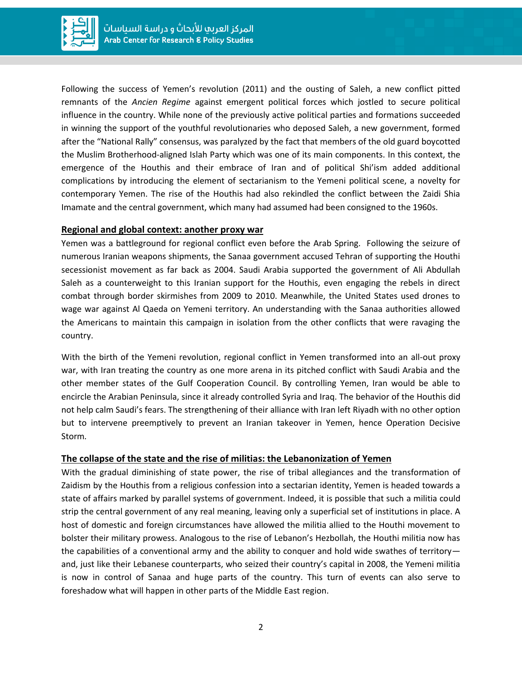

Following the success of Yemen's revolution (2011) and the ousting of Saleh, a new conflict pitted remnants of the *Ancien Regime* against emergent political forces which jostled to secure political influence in the country. While none of the previously active political parties and formations succeeded in winning the support of the youthful revolutionaries who deposed Saleh, a new government, formed after the "National Rally" consensus, was paralyzed by the fact that members of the old guard boycotted the Muslim Brotherhood-aligned Islah Party which was one of its main components. In this context, the emergence of the Houthis and their embrace of Iran and of political Shi'ism added additional complications by introducing the element of sectarianism to the Yemeni political scene, a novelty for contemporary Yemen. The rise of the Houthis had also rekindled the conflict between the Zaidi Shia Imamate and the central government, which many had assumed had been consigned to the 1960s.

## **Regional and global context: another proxy war**

Yemen was a battleground for regional conflict even before the Arab Spring. Following the seizure of numerous Iranian weapons shipments, the Sanaa government accused Tehran of supporting the Houthi secessionist movement as far back as 2004. Saudi Arabia supported the government of Ali Abdullah Saleh as a counterweight to this Iranian support for the Houthis, even engaging the rebels in direct combat through border skirmishes from 2009 to 2010. Meanwhile, the United States used drones to wage war against Al Qaeda on Yemeni territory. An understanding with the Sanaa authorities allowed the Americans to maintain this campaign in isolation from the other conflicts that were ravaging the country.

With the birth of the Yemeni revolution, regional conflict in Yemen transformed into an all-out proxy war, with Iran treating the country as one more arena in its pitched conflict with Saudi Arabia and the other member states of the Gulf Cooperation Council. By controlling Yemen, Iran would be able to encircle the Arabian Peninsula, since it already controlled Syria and Iraq. The behavior of the Houthis did not help calm Saudi's fears. The strengthening of their alliance with Iran left Riyadh with no other option but to intervene preemptively to prevent an Iranian takeover in Yemen, hence Operation Decisive Storm*.*

## **The collapse of the state and the rise of militias: the Lebanonization of Yemen**

With the gradual diminishing of state power, the rise of tribal allegiances and the transformation of Zaidism by the Houthis from a religious confession into a sectarian identity, Yemen is headed towards a state of affairs marked by parallel systems of government. Indeed, it is possible that such a militia could strip the central government of any real meaning, leaving only a superficial set of institutions in place. A host of domestic and foreign circumstances have allowed the militia allied to the Houthi movement to bolster their military prowess. Analogous to the rise of Lebanon's Hezbollah, the Houthi militia now has the capabilities of a conventional army and the ability to conquer and hold wide swathes of territory and, just like their Lebanese counterparts, who seized their country's capital in 2008, the Yemeni militia is now in control of Sanaa and huge parts of the country. This turn of events can also serve to foreshadow what will happen in other parts of the Middle East region.